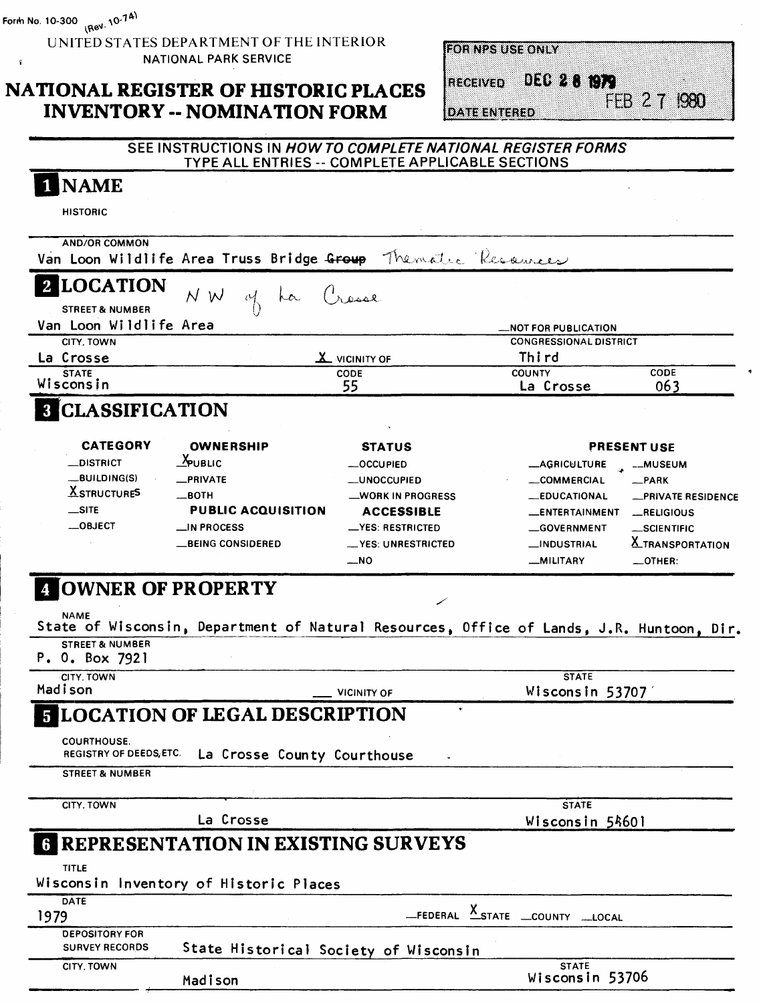UNITED STATES DEPARTMENT OF THE INTERIOR s NATIONAL PARK SERVICE

## **NATIONAL REGISTER OF HISTORIC PLACES INVENTORY -- NOMINATION FORM**

| FOR NPS USE ONLY |  |
|------------------|--|
|                  |  |

**DATE ENTERED** 

RECEIVED DEC 28 1979 FEB 27 1980

| 1 NAME                                          |                                                                                          |                                    |                                   |                         |
|-------------------------------------------------|------------------------------------------------------------------------------------------|------------------------------------|-----------------------------------|-------------------------|
| <b>HISTORIC</b>                                 |                                                                                          |                                    |                                   |                         |
| <b>AND/OR COMMON</b>                            |                                                                                          |                                    |                                   |                         |
|                                                 | Van Loon Wildlife Area Truss Bridge Group Thematre Resources                             |                                    |                                   |                         |
| 2 LOCATION                                      | N W<br>ra                                                                                | لعممتان                            |                                   |                         |
| <b>STREET &amp; NUMBER</b>                      | $\sqrt[1]{2}$                                                                            |                                    |                                   |                         |
| Van Loon Wildlife Area                          |                                                                                          |                                    | <b>NOT FOR PUBLICATION.</b>       |                         |
| <b>CITY, TOWN</b>                               |                                                                                          |                                    | <b>CONGRESSIONAL DISTRICT</b>     |                         |
| La Crosse                                       |                                                                                          | <b>X</b> VICINITY OF               | Third                             | CODE                    |
| <b>STATE</b><br>Wisconsin                       |                                                                                          | CODE<br>55                         | <b>COUNTY</b><br>La Crosse        | 063                     |
| <b>8 CLASSIFICATION</b>                         |                                                                                          |                                    |                                   |                         |
| <b>CATEGORY</b>                                 | <b>OWNERSHIP</b>                                                                         |                                    |                                   |                         |
| _DISTRICT                                       | <b>E</b> PUBLIC                                                                          | <b>STATUS</b><br><b>__OCCUPIED</b> | <b>LAGRICULTURE</b>               | <b>PRESENT USE</b>      |
| _BUILDING(S)                                    | _PRIVATE                                                                                 | <b>__UNOCCUPIED</b>                | <b>__COMMERCIAL</b>               | -MUSEUM<br>$-$ PARK     |
| <b>X</b> STRUCTURES                             | —вотн                                                                                    | _WORK IN PROGRESS                  | <b>__EDUCATIONAL</b>              | -PRIVATE RESIDENCE      |
| $\equiv$ site                                   | <b>PUBLIC ACQUISITION</b>                                                                | <b>ACCESSIBLE</b>                  | <b>LENTERTAINMENT</b>             | RELIGIOUS               |
| $\_$ OBJECT                                     | $\equiv$ IN PROCESS                                                                      | __YES: RESTRICTED                  | <b>__GOVERNMENT</b>               | _SCIENTIFIC             |
|                                                 | <b>__BEING CONSIDERED</b>                                                                | __YES: UNRESTRICTED                | <b>__INDUSTRIAL</b>               | <b>X_TRANSPORTATION</b> |
|                                                 |                                                                                          | $\overline{\phantom{0}}$ NO        | _MILITARY                         | $\equiv$ OTHER:         |
|                                                 |                                                                                          |                                    |                                   |                         |
| <b>NAME</b>                                     | State of Wisconsin, Department of Natural Resources, Office of Lands, J.R. Huntoon, Dir. |                                    |                                   |                         |
| <b>STREET &amp; NUMBER</b>                      |                                                                                          |                                    |                                   |                         |
| CITY. TOWN                                      |                                                                                          |                                    | <b>STATE</b>                      |                         |
|                                                 |                                                                                          | <b>VICINITY OF</b><br>$\bullet$    | Wisconsin 53707                   |                         |
|                                                 | <b>5 LOCATION OF LEGAL DESCRIPTION</b>                                                   |                                    |                                   |                         |
| <b>COURTHOUSE.</b><br>REGISTRY OF DEEDS, ETC.   | La Crosse County Courthouse                                                              |                                    |                                   |                         |
| <b>STREET &amp; NUMBER</b>                      |                                                                                          |                                    |                                   |                         |
| CITY, TOWN                                      |                                                                                          |                                    | <b>STATE</b>                      |                         |
|                                                 | La Crosse                                                                                |                                    | Wisconsin 54601                   |                         |
|                                                 | <b>6 REPRESENTATION IN EXISTING SURVEYS</b>                                              |                                    |                                   |                         |
| <b>TITLE</b>                                    |                                                                                          |                                    |                                   |                         |
| <b>DATE</b>                                     | Wisconsin Inventory of Historic Places                                                   |                                    |                                   |                         |
|                                                 |                                                                                          |                                    | _FEDERAL X_STATE _COUNTY ___LOCAL |                         |
| <b>DEPOSITORY FOR</b><br><b>SURVEY RECORDS</b>  | State Historical Society of Wisconsin                                                    |                                    |                                   |                         |
| P. 0. Box 7921<br>Madison<br>1979<br>CITY, TOWN | Madison                                                                                  |                                    | <b>STATE</b><br>Wisconsin 53706   |                         |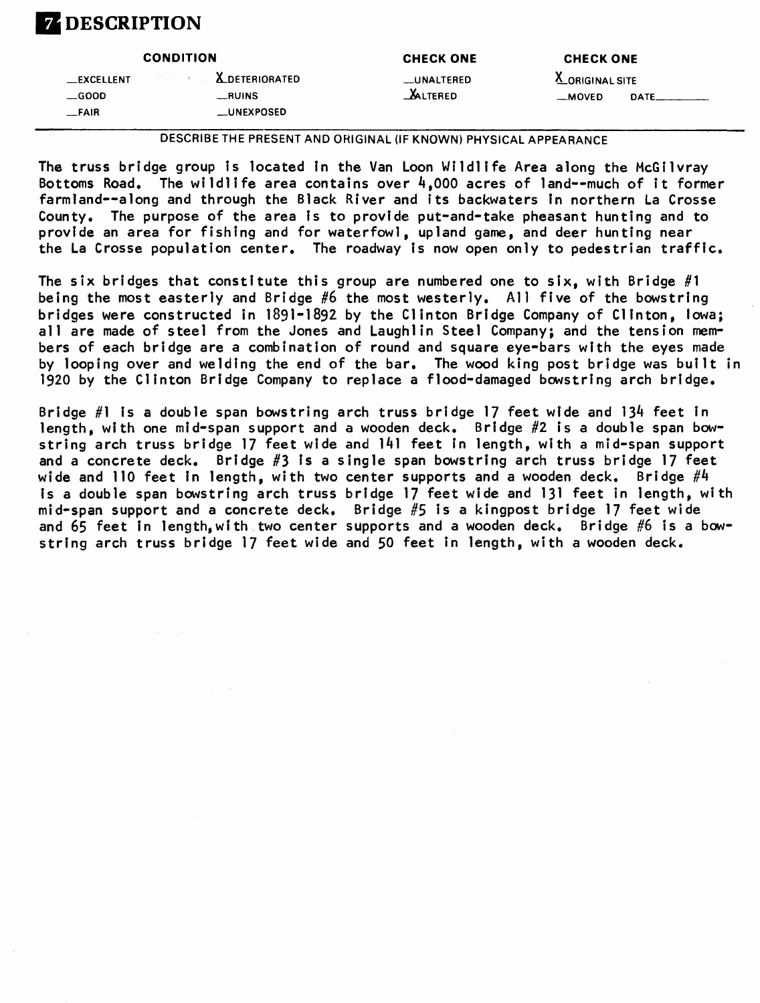## **7 DESCRIPTION**

|               | <b>CONDITION</b>                   | <b>CHECK ONE</b> | <b>CHECK ONE</b> |             |
|---------------|------------------------------------|------------------|------------------|-------------|
| _EXCELLENT    | <b>EXAMPLE 2018 ALDETERIORATED</b> | __UNALTERED      | X_ORIGINAL SITE  |             |
| $\equiv$ GOOD | RUNSS                              | <b>ALTERED</b>   | $-MOVED$         | <b>DATE</b> |
| _FAIR         | <b>LUNEXPOSED</b>                  |                  |                  |             |

DESCRIBE THE PRESENT AND ORIGINAL (IF KNOWN) PHYSICAL APPEARANCE

The truss bridge group is located in the Van Loon Wildlife Area along the McGilvray Bottoms Road. The wildlife area contains over  $4,000$  acres of land -- much of it former farmland--along and through the Black River and its backwaters in northern La Crosse County. The purpose of the area is to provide put-and-take pheasant hunting and to provide an area for fishing and for waterfowl, upland game, and deer hunting near the La Crosse population center. The roadway Is now open only to pedestrian traffic.

The six bridges that constitute this group are numbered one to six, with Bridge #1 being the most easterly and Bridge #6 the most westerly. All five of the bowstring bridges were constructed in 1891-1892 by the Clinton Bridge Company of Clinton, Iowa; all are made of steel from the Jones and Laughlin Steel Company; and the tension members of each bridge are a combination of round and square eye-bars with the eyes made by looping over and welding the end of the bar. The wood king post bridge was built in 1920 by the Clinton Bridge Company to replace a flood-damaged bowstring arch bridge.

Bridge  $#1$  is a double span bowstring arch truss bridge 17 feet wide and 134 feet in length, with one mid-span support and a wooden deck. Bridge #2 is a double span bowstring arch truss bridge 17 feet wide and 141 feet in length, with a mid-span support and a concrete deck. Bridge #3 is a single span bowstring arch truss bridge 17 feet wide and 110 feet in length, with two center supports and a wooden deck.  $\,$  Bridge  $\,\#4$ is a double span bowstring arch truss bridge 17 feet wide and 131 feet in length, with mid-span support and a concrete deck. Bridge #5 is a kingpost bridge 17 feet wide and 65 feet in length, with two center supports and a wooden deck. Bridge #6 is a bowstring arch truss bridge 17 feet wide and 50 feet in length, with a wooden deck.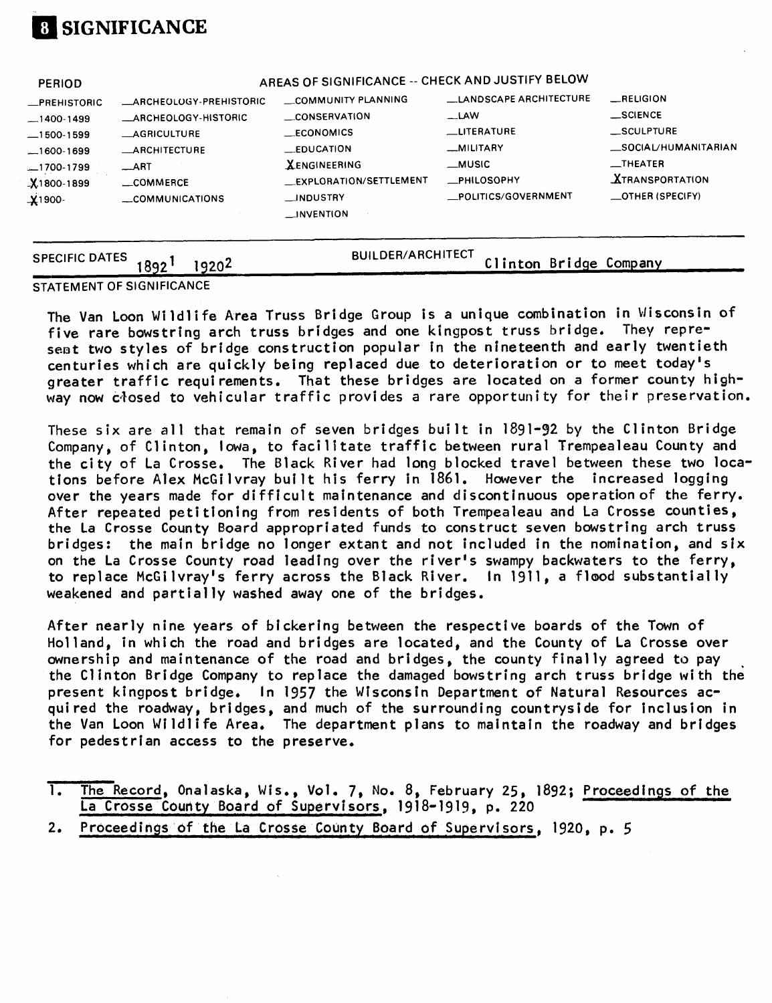

| <b>SPECIFIC DATES</b>              | 1920 <sup>2</sup><br>892'                                     | <b>BUILDER/ARCHITECT</b>                                                               | Clinton Bridge Company                     |                                                          |
|------------------------------------|---------------------------------------------------------------|----------------------------------------------------------------------------------------|--------------------------------------------|----------------------------------------------------------|
| <b>X</b> 1800-1899<br>$\chi$ 1900- | $\_$ ART<br>_COMMERCE<br>COMMUNICATIONS                       | <b>XENGINEERING</b><br>__EXPLORATION/SETTLEMENT<br><b>JNDUSTRY</b><br>$\Box$ INVENTION | <b>_PHILOSOPHY</b><br>_POLITICS/GOVERNMENT | <b>XTRANSPORTATION</b><br><b>_OTHER (SPECIFY)</b>        |
|                                    | <b>LARCHITECTURE</b>                                          | <b>EDUCATION</b>                                                                       | _MILITARY<br>__MUSIC                       | _SOCIAL/HUMANITARIAN<br>$\overline{\phantom{a}}$ THEATER |
| —1500-1599                         | <b>__AGRICULTURE</b>                                          | $\_ECONOMICS$                                                                          | <b>LITERATURE</b>                          | _SCULPTURE                                               |
| <b>_PREHISTORIC</b>                | <b>__ARCHEOLOGY-PREHISTORIC</b><br><b>ARCHEOLOGY-HISTORIC</b> | COMMUNITY PLANNING<br>CONSERVATION                                                     | <b>LLANDSCAPE ARCHITECTURE</b><br>__LAW    | $\equiv$ RELIGION<br>$\equiv$ SCIENCE                    |
| <b>PERIOD</b>                      |                                                               | AREAS OF SIGNIFICANCE -- CHECK AND JUSTIFY BELOW                                       |                                            |                                                          |

STATEMENT OF SIGNIFICANCE

The Van Loon Wildlife Area Truss Bridge Group is a unique combination in Wisconsin of five rare bowstring arch truss bridges and one kingpost truss bridge. They represent two styles of bridge construction popular in the nineteenth and early twentieth centuries which are quickly being replaced due to deterioration or to meet today's greater traffic requirements. That these bridges are located on a former county highway now closed to vehicular traffic provides a rare opportunity for their preservation.

These six are all that remain of seven bridges built in 1891-92 by the Clinton Bridge Company, of Clinton, Iowa, to facilitate traffic between rural Trempealeau County and the city of La Crosse. The Black River had long blocked travel between these two locations before Alex McGilvray built his ferry in 1861. However the increased logging over the years made for difficult maintenance and discontinuous operation of the ferry. After repeated petitioning from residents of both Trempealeau and La Crosse counties, the La Crosse County Board appropriated funds to construct seven bowstring arch truss bridges: the main bridge no longer extant and not included in the nomination, and six on the La Crosse County road leading over the river's swampy backwaters to the ferry, to replace McGilvray's ferry across the Black River. In 1911, a flood substantially weakened and partially washed away one of the bridges.

After nearly nine years of bickering between the respective boards of the Town of Holland, in which the road and bridges are located, and the County of La Crosse over ownership and maintenance of the road and bridges, the county finally agreed to pay the Clinton Bridge Company to replace the damaged bowstring arch truss bridge with the present kingpost bridge. In 1957 the Wisconsin Department of Natural Resources acquired the roadway, bridges, and much of the surrounding countryside for inclusion in the Van Loon Wildlife Area. The department plans to maintain the roadway and bridges for pedestrian access to the preserve.

- 1. The Record, Onalaska, Wis., Vol. 7, No. 8, February 25, 1892; Proceedings of the La Crosse County Board of Supervisors, 1918-1919, p. 220
- 2. Proceedings of the La Crosse County Board of Supervisors, 1920, p. 5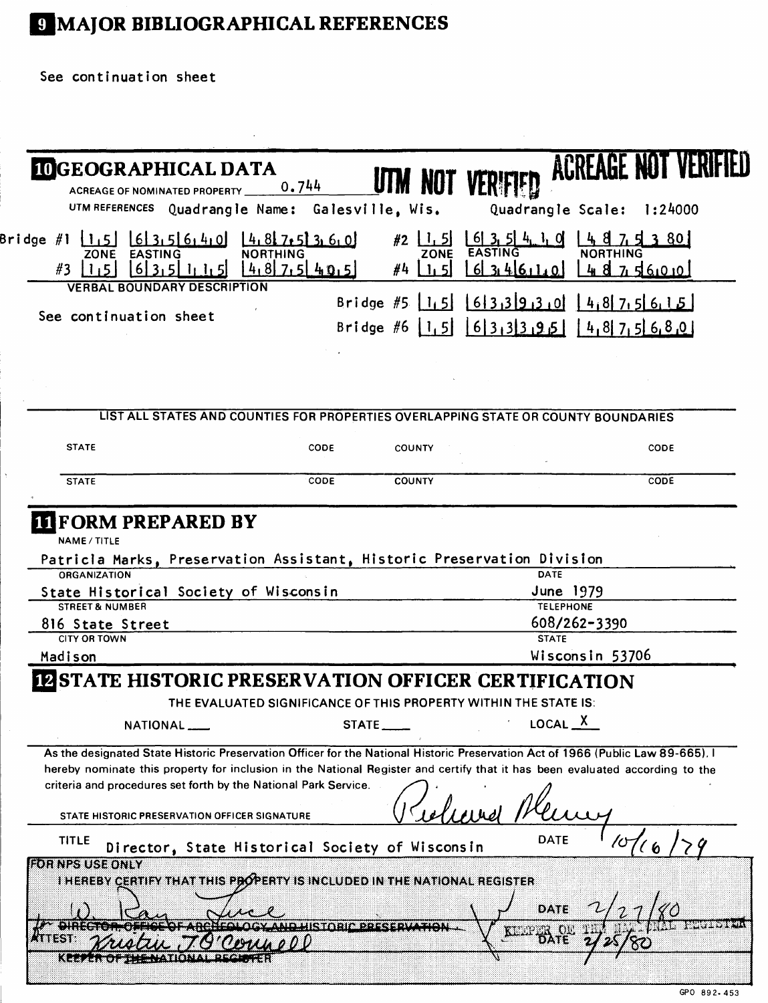# 9 MAJOR BIBLIOGRAPHICAL REFERENCES

See continuation sheet

| <b>IDGEOGRAPHICAL DATA</b><br><b>ACREAGE OF NOMINATED PROPERTY</b>                                                                                                                              | 0.744                                                            | <b>UTM NOT VERIFIED</b>     |                               | ACREAGE NUI VEN     |                        |
|-------------------------------------------------------------------------------------------------------------------------------------------------------------------------------------------------|------------------------------------------------------------------|-----------------------------|-------------------------------|---------------------|------------------------|
| UTM REFERENCES Quadrangle Name: Galesville, Wis.                                                                                                                                                |                                                                  |                             | Quadrangle Scale: 1:24000     |                     |                        |
| Bridge #1<br>635640<br>11,51<br><b>EASTING</b><br>ZONE                                                                                                                                          | 14,817,5136,0<br><b>NORTHING</b>                                 | 1, 5<br>#2<br>ZONE          | 613, 514.1<br><b>EASTING</b>  | <b>NORTHING</b>     | 3 80                   |
| 6 3,5 <br>#3<br><b>VERBAL BOUNDARY DESCRIPTION</b>                                                                                                                                              | $4.8$ 7.5 $40.5$                                                 | #4                          | 613.416.110                   | 4875600             |                        |
|                                                                                                                                                                                                 |                                                                  | Bridge #5 $ 1, 5 $          | $6339930$ $4875615$           |                     |                        |
| See continuation sheet                                                                                                                                                                          |                                                                  | Bridge #6 $1,5$ 6 3 3 3 9 5 |                               | 14, 817, 516, 8, 01 |                        |
|                                                                                                                                                                                                 |                                                                  |                             |                               |                     |                        |
|                                                                                                                                                                                                 |                                                                  |                             |                               |                     |                        |
|                                                                                                                                                                                                 |                                                                  |                             |                               |                     |                        |
|                                                                                                                                                                                                 |                                                                  |                             |                               |                     |                        |
| LIST ALL STATES AND COUNTIES FOR PROPERTIES OVERLAPPING STATE OR COUNTY BOUNDARIES                                                                                                              |                                                                  |                             |                               |                     |                        |
| <b>STATE</b>                                                                                                                                                                                    | CODE                                                             | <b>COUNTY</b>               |                               |                     | CODE                   |
|                                                                                                                                                                                                 |                                                                  |                             |                               |                     |                        |
| <b>STATE</b>                                                                                                                                                                                    | CODE                                                             | <b>COUNTY</b>               |                               |                     | CODE                   |
| <b>II FORM PREPARED BY</b><br>NAME / TITLE<br>Patricla Marks, Preservation Assistant, Historic Preservation Division<br><b>ORGANIZATION</b>                                                     |                                                                  |                             | <b>DATE</b>                   |                     |                        |
| State Historical Society of Wisconsin<br><b>STREET &amp; NUMBER</b>                                                                                                                             |                                                                  |                             | June 1979<br><b>TELEPHONE</b> |                     |                        |
| 816 State Street<br><b>CITY OR TOWN</b>                                                                                                                                                         |                                                                  |                             | <b>STATE</b>                  | 608/262-3390        |                        |
| Madison                                                                                                                                                                                         |                                                                  |                             |                               | Wisconsin 53706     |                        |
|                                                                                                                                                                                                 |                                                                  |                             |                               |                     |                        |
| <b>IZ STATE HISTORIC PRESERVATION OFFICER CERTIFICATION</b>                                                                                                                                     | THE EVALUATED SIGNIFICANCE OF THIS PROPERTY WITHIN THE STATE IS: |                             |                               |                     |                        |
| NATIONAL                                                                                                                                                                                        |                                                                  |                             |                               |                     |                        |
|                                                                                                                                                                                                 |                                                                  | STATE ____                  | LOGAL X                       |                     |                        |
| As the designated State Historic Preservation Officer for the National Historic Preservation Act of 1966 (Public Law 89-665). I                                                                 |                                                                  |                             |                               |                     |                        |
| hereby nominate this property for inclusion in the National Register and certify that it has been evaluated according to the<br>criteria and procedures set forth by the National Park Service. |                                                                  |                             |                               |                     |                        |
|                                                                                                                                                                                                 |                                                                  |                             |                               |                     |                        |
| STATE HISTORIC PRESERVATION OFFICER SIGNATURE                                                                                                                                                   |                                                                  |                             |                               |                     |                        |
| <b>TITLE</b><br>Director, State Historical Society of Wisconsin                                                                                                                                 |                                                                  |                             | DATE                          |                     |                        |
| FOR NPS USE ONLY                                                                                                                                                                                |                                                                  |                             |                               |                     |                        |
| I HEREBY CERTIFY THAT THIS PROPERTY IS INCLUDED IN THE NATIONAL REGISTER                                                                                                                        |                                                                  |                             |                               |                     |                        |
|                                                                                                                                                                                                 |                                                                  |                             | DATE                          |                     |                        |
| .                                                                                                                                                                                               |                                                                  | STOPISDOS SENZERON          |                               |                     | <b>The Participate</b> |